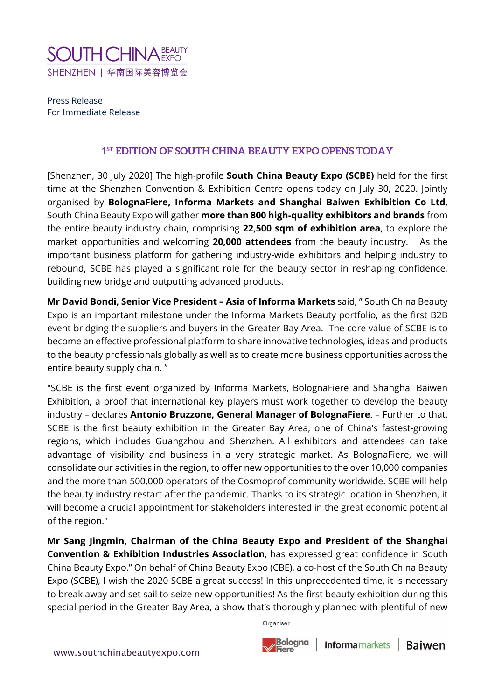

Press Release For Immediate Release

## **1ST EDITION OF SOUTH CHINA BEAUTY EXPO OPENS TODAY**

[Shenzhen, 30 July 2020] The high-profile **South China Beauty Expo (SCBE)** held for the first time at the Shenzhen Convention & Exhibition Centre opens today on July 30, 2020. Jointly organised by **BolognaFiere, Informa Markets and Shanghai Baiwen Exhibition Co Ltd**, South China Beauty Expo will gather **more than 800 high-quality exhibitors and brands** from the entire beauty industry chain, comprising **22,500 sqm of exhibition area**, to explore the market opportunities and welcoming **20,000 attendees** from the beauty industry. As the important business platform for gathering industry-wide exhibitors and helping industry to rebound, SCBE has played a significant role for the beauty sector in reshaping confidence, building new bridge and outputting advanced products.

**Mr David Bondi, Senior Vice President – Asia of Informa Markets** said, " South China Beauty Expo is an important milestone under the Informa Markets Beauty portfolio, as the first B2B event bridging the suppliers and buyers in the Greater Bay Area. The core value of SCBE is to become an effective professional platform to share innovative technologies, ideas and products to the beauty professionals globally as well as to create more business opportunities across the entire beauty supply chain. "

"SCBE is the first event organized by Informa Markets, BolognaFiere and Shanghai Baiwen Exhibition, a proof that international key players must work together to develop the beauty industry – declares **Antonio Bruzzone, General Manager of BolognaFiere**. – Further to that, SCBE is the first beauty exhibition in the Greater Bay Area, one of China's fastest-growing regions, which includes Guangzhou and Shenzhen. All exhibitors and attendees can take advantage of visibility and business in a very strategic market. As BolognaFiere, we will consolidate our activities in the region, to offer new opportunities to the over 10,000 companies and the more than 500,000 operators of the Cosmoprof community worldwide. SCBE will help the beauty industry restart after the pandemic. Thanks to its strategic location in Shenzhen, it will become a crucial appointment for stakeholders interested in the great economic potential of the region."

**Mr Sang Jingmin, Chairman of the China Beauty Expo and President of the Shanghai Convention & Exhibition Industries Association**, has expressed great confidence in South China Beauty Expo." On behalf of China Beauty Expo (CBE), a co-host of the South China Beauty Expo (SCBE), I wish the 2020 SCBE a great success! In this unprecedented time, it is necessary to break away and set sail to seize new opportunities! As the first beauty exhibition during this special period in the Greater Bay Area, a show that's thoroughly planned with plentiful of new

Organiser

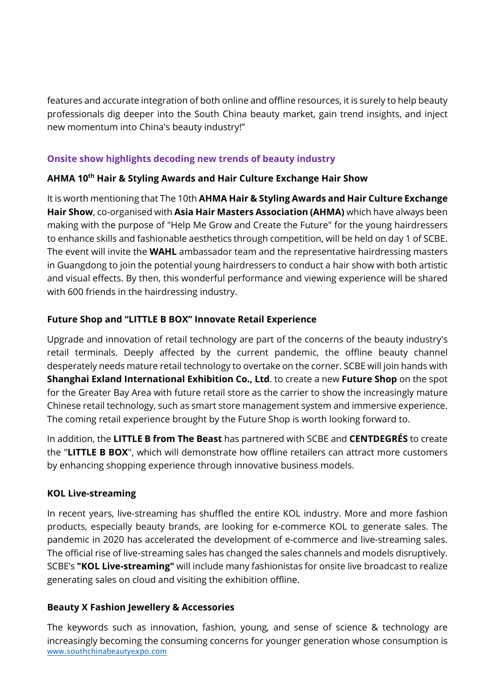features and accurate integration of both online and offline resources, it is surely to help beauty professionals dig deeper into the South China beauty market, gain trend insights, and inject new momentum into China's beauty industry!"

## **Onsite show highlights decoding new trends of beauty industry**

# **AHMA 10th Hair & Styling Awards and Hair Culture Exchange Hair Show**

It is worth mentioning that The 10th **AHMA Hair & Styling Awards and Hair Culture Exchange Hair Show**, co-organised with **Asia Hair Masters Association (AHMA)** which have always been making with the purpose of "Help Me Grow and Create the Future" for the young hairdressers to enhance skills and fashionable aesthetics through competition, will be held on day 1 of SCBE. The event will invite the **WAHL** ambassador team and the representative hairdressing masters in Guangdong to join the potential young hairdressers to conduct a hair show with both artistic and visual effects. By then, this wonderful performance and viewing experience will be shared with 600 friends in the hairdressing industry.

# **Future Shop and "LITTLE B BOX" Innovate Retail Experience**

Upgrade and innovation of retail technology are part of the concerns of the beauty industry's retail terminals. Deeply affected by the current pandemic, the offline beauty channel desperately needs mature retail technology to overtake on the corner. SCBE will join hands with **Shanghai Exland International Exhibition Co., Ltd**. to create a new **Future Shop** on the spot for the Greater Bay Area with future retail store as the carrier to show the increasingly mature Chinese retail technology, such as smart store management system and immersive experience. The coming retail experience brought by the Future Shop is worth looking forward to.

In addition, the **LITTLE B from The Beast** has partnered with SCBE and **CENTDEGRÉS** to create the "**LITTLE B BOX**", which will demonstrate how offline retailers can attract more customers by enhancing shopping experience through innovative business models.

## **KOL Live-streaming**

In recent years, live-streaming has shuffled the entire KOL industry. More and more fashion products, especially beauty brands, are looking for e-commerce KOL to generate sales. The pandemic in 2020 has accelerated the development of e-commerce and live-streaming sales. The official rise of live-streaming sales has changed the sales channels and models disruptively. SCBE's **"KOL Live-streaming"** will include many fashionistas for onsite live broadcast to realize generating sales on cloud and visiting the exhibition offline.

## **Beauty X Fashion Jewellery & Accessories**

[www.southchinabeautyexpo.com](http://www.southchinabeautyexpo.com/) The keywords such as innovation, fashion, young, and sense of science & technology are increasingly becoming the consuming concerns for younger generation whose consumption is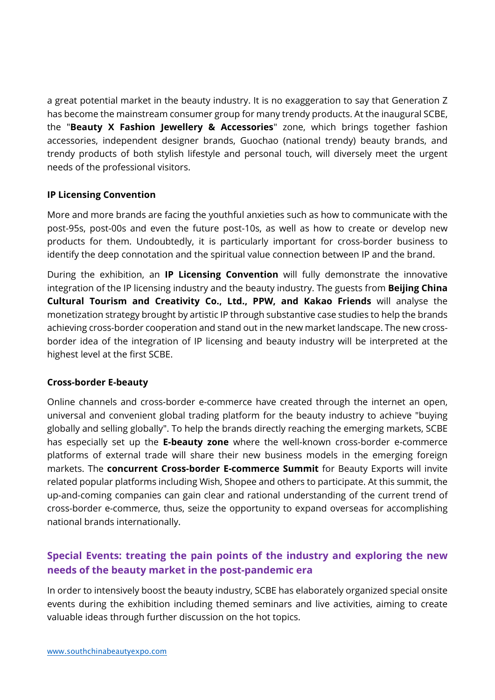a great potential market in the beauty industry. It is no exaggeration to say that Generation Z has become the mainstream consumer group for many trendy products. At the inaugural SCBE, the "**Beauty X Fashion Jewellery & Accessories**" zone, which brings together fashion accessories, independent designer brands, Guochao (national trendy) beauty brands, and trendy products of both stylish lifestyle and personal touch, will diversely meet the urgent needs of the professional visitors.

## **IP Licensing Convention**

More and more brands are facing the youthful anxieties such as how to communicate with the post-95s, post-00s and even the future post-10s, as well as how to create or develop new products for them. Undoubtedly, it is particularly important for cross-border business to identify the deep connotation and the spiritual value connection between IP and the brand.

During the exhibition, an **IP Licensing Convention** will fully demonstrate the innovative integration of the IP licensing industry and the beauty industry. The guests from **Beijing China Cultural Tourism and Creativity Co., Ltd., PPW, and Kakao Friends** will analyse the monetization strategy brought by artistic IP through substantive case studies to help the brands achieving cross-border cooperation and stand out in the new market landscape. The new crossborder idea of the integration of IP licensing and beauty industry will be interpreted at the highest level at the first SCBE.

## **Cross-border E-beauty**

Online channels and cross-border e-commerce have created through the internet an open, universal and convenient global trading platform for the beauty industry to achieve "buying globally and selling globally". To help the brands directly reaching the emerging markets, SCBE has especially set up the **E-beauty zone** where the well-known cross-border e-commerce platforms of external trade will share their new business models in the emerging foreign markets. The **concurrent Cross-border E-commerce Summit** for Beauty Exports will invite related popular platforms including Wish, Shopee and others to participate. At this summit, the up-and-coming companies can gain clear and rational understanding of the current trend of cross-border e-commerce, thus, seize the opportunity to expand overseas for accomplishing national brands internationally.

# **Special Events: treating the pain points of the industry and exploring the new needs of the beauty market in the post-pandemic era**

In order to intensively boost the beauty industry, SCBE has elaborately organized special onsite events during the exhibition including themed seminars and live activities, aiming to create valuable ideas through further discussion on the hot topics.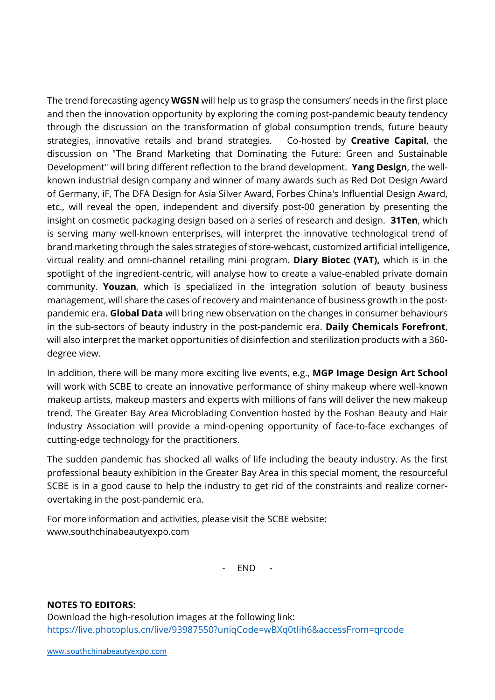The trend forecasting agency **WGSN** will help us to grasp the consumers' needs in the first place and then the innovation opportunity by exploring the coming post-pandemic beauty tendency through the discussion on the transformation of global consumption trends, future beauty strategies, innovative retails and brand strategies. Co-hosted by **Creative Capital**, the discussion on "The Brand Marketing that Dominating the Future: Green and Sustainable Development" will bring different reflection to the brand development. **Yang Design**, the wellknown industrial design company and winner of many awards such as Red Dot Design Award of Germany, iF, The DFA Design for Asia Silver Award, Forbes China's Influential Design Award, etc., will reveal the open, independent and diversify post-00 generation by presenting the insight on cosmetic packaging design based on a series of research and design. **31Ten**, which is serving many well-known enterprises, will interpret the innovative technological trend of brand marketing through the sales strategies of store-webcast, customized artificial intelligence, virtual reality and omni-channel retailing mini program. **Diary Biotec (YAT),** which is in the spotlight of the ingredient-centric, will analyse how to create a value-enabled private domain community. **Youzan**, which is specialized in the integration solution of beauty business management, will share the cases of recovery and maintenance of business growth in the postpandemic era. **Global Data** will bring new observation on the changes in consumer behaviours in the sub-sectors of beauty industry in the post-pandemic era. **Daily Chemicals Forefront**, will also interpret the market opportunities of disinfection and sterilization products with a 360 degree view.

In addition, there will be many more exciting live events, e.g., **MGP Image Design Art School**  will work with SCBE to create an innovative performance of shiny makeup where well-known makeup artists, makeup masters and experts with millions of fans will deliver the new makeup trend. The Greater Bay Area Microblading Convention hosted by the Foshan Beauty and Hair Industry Association will provide a mind-opening opportunity of face-to-face exchanges of cutting-edge technology for the practitioners.

The sudden pandemic has shocked all walks of life including the beauty industry. As the first professional beauty exhibition in the Greater Bay Area in this special moment, the resourceful SCBE is in a good cause to help the industry to get rid of the constraints and realize cornerovertaking in the post-pandemic era.

For more information and activities, please visit the SCBE website: [www.southchinabeautyexpo.com](http://www.southchinabeautyexpo.com/)

- END -

## **NOTES TO EDITORS:**

Download the high-resolution images at the following link: <https://live.photoplus.cn/live/93987550?uniqCode=wBXq0tIih6&accessFrom=qrcode>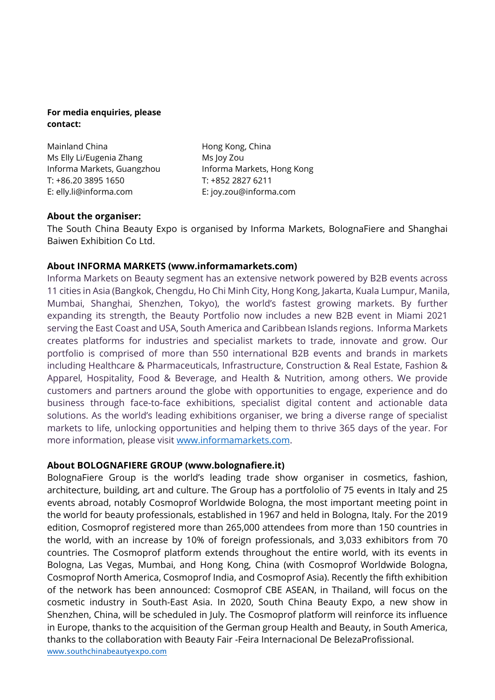#### **For media enquiries, please contact:**

Mainland China Ms Elly Li/Eugenia Zhang Informa Markets, Guangzhou T: +86.20 3895 1650 E: elly.li@informa.com

Hong Kong, China Ms Joy Zou Informa Markets, Hong Kong T: +852 2827 6211 E: joy.zou@informa.com

## **About the organiser:**

The South China Beauty Expo is organised by Informa Markets, BolognaFiere and Shanghai Baiwen Exhibition Co Ltd.

## **About INFORMA MARKETS (www.informamarkets.com)**

Informa Markets on Beauty segment has an extensive network powered by B2B events across 11 cities in Asia (Bangkok, Chengdu, Ho Chi Minh City, Hong Kong, Jakarta, Kuala Lumpur, Manila, Mumbai, Shanghai, Shenzhen, Tokyo), the world's fastest growing markets. By further expanding its strength, the Beauty Portfolio now includes a new B2B event in Miami 2021 serving the East Coast and USA, South America and Caribbean Islands regions. Informa Markets creates platforms for industries and specialist markets to trade, innovate and grow. Our portfolio is comprised of more than 550 international B2B events and brands in markets including Healthcare & Pharmaceuticals, Infrastructure, Construction & Real Estate, Fashion & Apparel, Hospitality, Food & Beverage, and Health & Nutrition, among others. We provide customers and partners around the globe with opportunities to engage, experience and do business through face-to-face exhibitions, specialist digital content and actionable data solutions. As the world's leading exhibitions organiser, we bring a diverse range of specialist markets to life, unlocking opportunities and helping them to thrive 365 days of the year. For more information, please visit [www.informamarkets.com.](http://www.informamarkets.com/)

## **About BOLOGNAFIERE GROUP (www.bolognafiere.it)**

[www.southchinabeautyexpo.com](http://www.southchinabeautyexpo.com/)  BolognaFiere Group is the world's leading trade show organiser in cosmetics, fashion, architecture, building, art and culture. The Group has a portfololio of 75 events in Italy and 25 events abroad, notably Cosmoprof Worldwide Bologna, the most important meeting point in the world for beauty professionals, established in 1967 and held in Bologna, Italy. For the 2019 edition, Cosmoprof registered more than 265,000 attendees from more than 150 countries in the world, with an increase by 10% of foreign professionals, and 3,033 exhibitors from 70 countries. The Cosmoprof platform extends throughout the entire world, with its events in Bologna, Las Vegas, Mumbai, and Hong Kong, China (with Cosmoprof Worldwide Bologna, Cosmoprof North America, Cosmoprof India, and Cosmoprof Asia). Recently the fifth exhibition of the network has been announced: Cosmoprof CBE ASEAN, in Thailand, will focus on the cosmetic industry in South-East Asia. In 2020, South China Beauty Expo, a new show in Shenzhen, China, will be scheduled in July. The Cosmoprof platform will reinforce its influence in Europe, thanks to the acquisition of the German group Health and Beauty, in South America, thanks to the collaboration with Beauty Fair -Feira Internacional De BelezaProfissional.